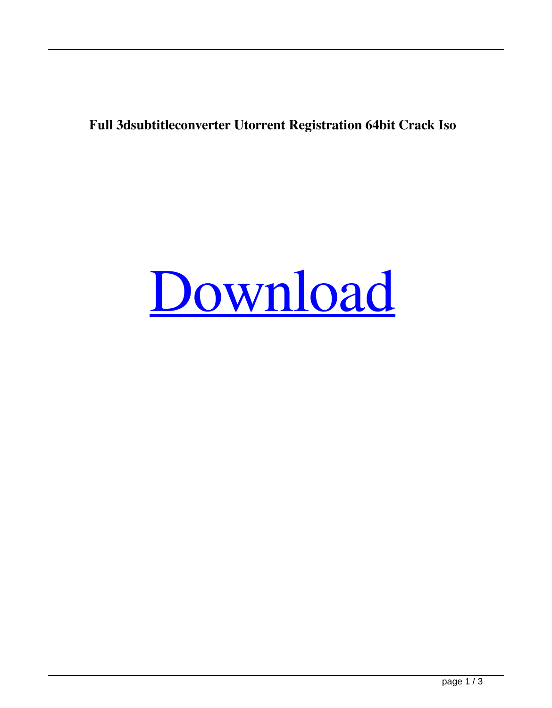## **Full 3dsubtitleconverter Utorrent Registration 64bit Crack Iso**

## [Download](http://evacdir.com/ballantine/RlVMTDNkc3VidGl0bGVjb252ZXJ0ZXIRlV=ZG93bmxvYWR8bzdTTW5rd2FYeDhNVFkxTWpjME1EZzJObng4TWpVM05IeDhLRTBwSUhKbFlXUXRZbXh2WnlCYlJtRnpkQ0JIUlU1ZA&vaccine=clockmakers&guten=gurnsey.isogenics)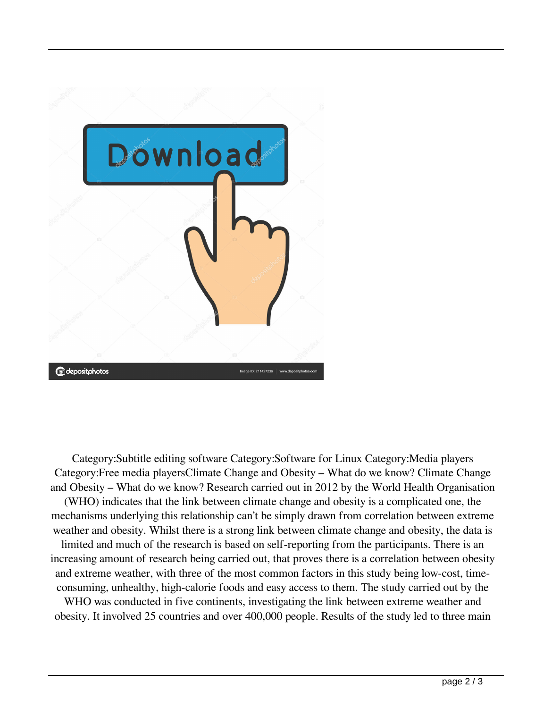

Category:Subtitle editing software Category:Software for Linux Category:Media players Category:Free media playersClimate Change and Obesity – What do we know? Climate Change and Obesity – What do we know? Research carried out in 2012 by the World Health Organisation (WHO) indicates that the link between climate change and obesity is a complicated one, the mechanisms underlying this relationship can't be simply drawn from correlation between extreme weather and obesity. Whilst there is a strong link between climate change and obesity, the data is limited and much of the research is based on self-reporting from the participants. There is an increasing amount of research being carried out, that proves there is a correlation between obesity and extreme weather, with three of the most common factors in this study being low-cost, timeconsuming, unhealthy, high-calorie foods and easy access to them. The study carried out by the WHO was conducted in five continents, investigating the link between extreme weather and obesity. It involved 25 countries and over 400,000 people. Results of the study led to three main